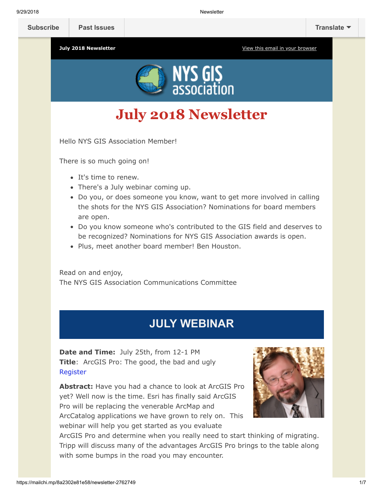**[Subscribe](http://eepurl.com/c1OotD) [Past Issues](https://us9.campaign-archive.com/home/?u=79136ebe8b18b11ee073cc61c&id=787fea6e72) [Translate](javascript:;)**



# **July 2018 Newsletter**

Hello NYS GIS Association Member!

There is so much going on!

- It's time to renew.
- There's a July webinar coming up.
- Do you, or does someone you know, want to get more involved in calling the shots for the NYS GIS Association? Nominations for board members are open.
- Do you know someone who's contributed to the GIS field and deserves to be recognized? Nominations for NYS GIS Association awards is open.
- Plus, meet another board member! Ben Houston.

Read on and enjoy, The NYS GIS Association Communications Committee

## **JULY WEBINAR**

**Date and Time:** July 25th, from 12-1 PM **Title**: ArcGIS Pro: The good, the bad and ugly [Register](http://%20https//nysgisa.clickmeeting.com/arcgis-pro-the-good-the-bad-and-ugly/register)

**Abstract:** Have you had a chance to look at ArcGIS Pro yet? Well now is the time. Esri has finally said ArcGIS Pro will be replacing the venerable ArcMap and ArcCatalog applications we have grown to rely on. This webinar will help you get started as you evaluate



ArcGIS Pro and determine when you really need to start thinking of migrating. Tripp will discuss many of the advantages ArcGIS Pro brings to the table along with some bumps in the road you may encounter.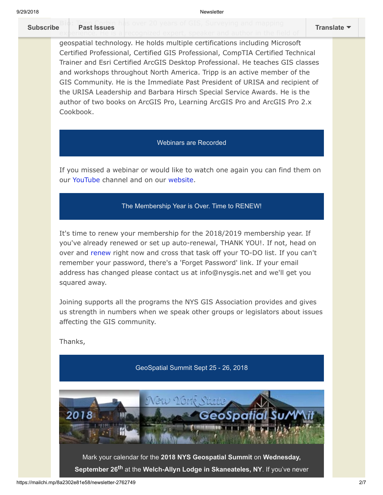### **Bio: Tripp Corbin** has over 20 years of GIS, Surveying and mapping

9/29/2018 Newsletter

#### ex[perience. He is a](https://us9.campaign-archive.com/home/?u=79136ebe8b18b11ee073cc61c&id=787fea6e72) recognized expert, speaker and author in the field of **[Subscribe](http://eepurl.com/c1OotD) Past Issues [Translate](javascript:;)**

geospatial technology. He holds multiple certifications including Microsoft Certified Professional, Certified GIS Professional, CompTIA Certified Technical Trainer and Esri Certified ArcGIS Desktop Professional. He teaches GIS classes and workshops throughout North America. Tripp is an active member of the GIS Community. He is the Immediate Past President of URISA and recipient of the URISA Leadership and Barbara Hirsch Special Service Awards. He is the author of two books on ArcGIS Pro, Learning ArcGIS Pro and ArcGIS Pro 2.x Cookbook.

#### Webinars are Recorded

If you missed a webinar or would like to watch one again you can find them on our [YouTube](https://www.youtube.com/user/NYSGISA) channel and on our [website.](https://www.nysgis.net/featured/professional-development-resources/)

#### The Membership Year is Over. Time to RENEW!

It's time to renew your membership for the 2018/2019 membership year. If you've already renewed or set up auto-renewal, THANK YOU!. If not, head on over and [renew r](https://www.nysgis.net/joinus/join/login)ight now and cross that task off your TO-DO list. If you can't remember your password, there's a 'Forget Password' link. If your email address has changed please contact us at info@nysgis.net and we'll get you squared away.

Joining supports all the programs the NYS GIS Association provides and gives us strength in numbers when we speak other groups or legislators about issues affecting the GIS community.

Thanks,

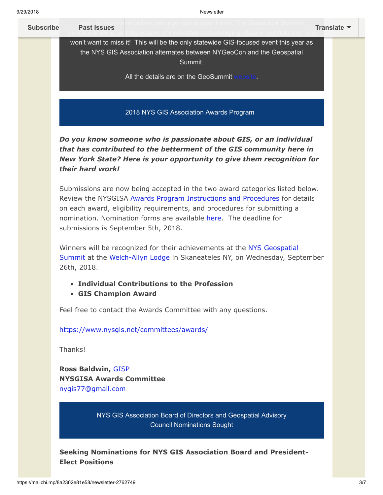

**Ross Baldwin,** [GISP](http://www.gisci.org/) **NYSGISA Awards Committee** [nygis77@gmail.com](mailto:nygis77@gmail.com)

> NYS GIS Association Board of Directors and Geospatial Advisory Council Nominations Sought

**Seeking Nominations for NYS GIS Association Board and President-Elect Positions**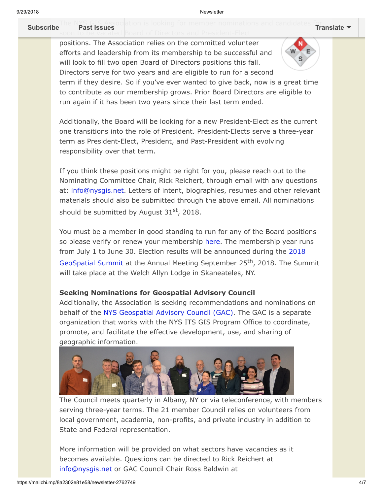**[Subscribe](http://eepurl.com/c1OotD) Past Issues [Translate](javascript:;)**

Th[e NYS GIS Associ](https://us9.campaign-archive.com/home/?u=79136ebe8b18b11ee073cc61c&id=787fea6e72)ation is looking for member nominations and candidates for soon to be vacated Board of Directors and President-Elect

positions. The Association relies on the committed volunteer efforts and leadership from its membership to be successful and will look to fill two open Board of Directors positions this fall. Directors serve for two years and are eligible to run for a second term if they desire. So if you've ever wanted to give back, now is a great time to contribute as our membership grows. Prior Board Directors are eligible to run again if it has been two years since their last term ended.

Additionally, the Board will be looking for a new President-Elect as the current one transitions into the role of President. President-Elects serve a three-year term as President-Elect, President, and Past-President with evolving responsibility over that term.

If you think these positions might be right for you, please reach out to the Nominating Committee Chair, Rick Reichert, through email with any questions at: [info@nysgis.net.](mailto:info@nysgis.net) Letters of intent, biographies, resumes and other relevant materials should also be submitted through the above email. All nominations should be submitted by August  $31<sup>st</sup>$ , 2018.

You must be a member in good standing to run for any of the Board positions so please verify or renew your membership [here.](https://www.nysgis.net/joinus/) The membership year runs [from July 1 to June 30. Election results will be announced during the 2018](https://nysgis.net/geosummit2018/) GeoSpatial Summit at the Annual Meeting September 25<sup>th</sup>, 2018. The Summit will take place at the Welch Allyn Lodge in Skaneateles, NY.

#### **Seeking Nominations for Geospatial Advisory Council**

Additionally, the Association is seeking recommendations and nominations on behalf of the [NYS Geospatial Advisory Council \(GAC\)](https://gis.ny.gov/coordinationprogram/workgroups/details/?ID=10). The GAC is a separate organization that works with the NYS ITS GIS Program Office to coordinate, promote, and facilitate the effective development, use, and sharing of geographic information.



The Council meets quarterly in Albany, NY or via teleconference, with members serving three-year terms. The 21 member Council relies on volunteers from local government, academia, non-profits, and private industry in addition to State and Federal representation.

More information will be provided on what sectors have vacancies as it becomes available. Questions can be directed to Rick Reichert at [info@nysgis.net](mailto:info@nysgis.net) or GAC Council Chair Ross Baldwin at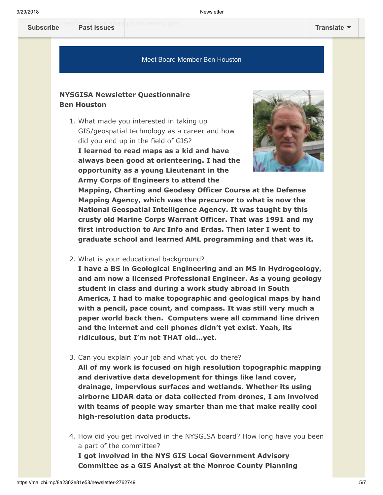#### Meet Board Member Ben Houston

#### **NYSGISA Newsletter Questionnaire Ben Houston**

1. What made you interested in taking up GIS/geospatial technology as a career and how did you end up in the field of GIS?

**I learned to read maps as a kid and have always been good at orienteering. I had the opportunity as a young Lieutenant in the Army Corps of Engineers to attend the**



**Mapping, Charting and Geodesy Officer Course at the Defense Mapping Agency, which was the precursor to what is now the National Geospatial Intelligence Agency. It was taught by this crusty old Marine Corps Warrant Officer. That was 1991 and my first introduction to Arc Info and Erdas. Then later I went to graduate school and learned AML programming and that was it.**

2. What is your educational background?

**I have a BS in Geological Engineering and an MS in Hydrogeology, and am now a licensed Professional Engineer. As a young geology student in class and during a work study abroad in South America, I had to make topographic and geological maps by hand with a pencil, pace count, and compass. It was still very much a paper world back then. Computers were all command line driven and the internet and cell phones didn't yet exist. Yeah, its ridiculous, but I'm not THAT old…yet.**

3. Can you explain your job and what you do there?

**All of my work is focused on high resolution topographic mapping and derivative data development for things like land cover, drainage, impervious surfaces and wetlands. Whether its using airborne LiDAR data or data collected from drones, I am involved with teams of people way smarter than me that make really cool high-resolution data products.**

4. How did you get involved in the NYSGISA board? How long have you been a part of the committee?

**I got involved in the NYS GIS Local Government Advisory Committee as a GIS Analyst at the Monroe County Planning**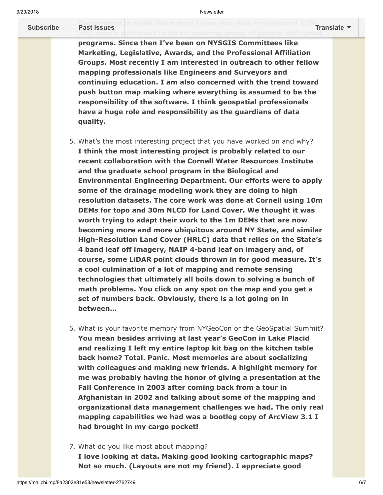#### **[Department i](https://us9.campaign-archive.com/home/?u=79136ebe8b18b11ee073cc61c&id=787fea6e72)n** 1998. Back then I was also Vice President of GIS Translate <sup>.</sup><br>Past issues **[Subscribe](http://eepurl.com/c1OotD) Past Issues [Translate](javascript:;)**

**programs. Since then I've been on NYSGIS Committees like Marketing, Legislative, Awards, and the Professional Affiliation Groups. Most recently I am interested in outreach to other fellow mapping professionals like Engineers and Surveyors and continuing education. I am also concerned with the trend toward push button map making where everything is assumed to be the responsibility of the software. I think geospatial professionals have a huge role and responsibility as the guardians of data quality.**

- 5. What's the most interesting project that you have worked on and why? **I think the most interesting project is probably related to our recent collaboration with the Cornell Water Resources Institute and the graduate school program in the Biological and Environmental Engineering Department. Our efforts were to apply some of the drainage modeling work they are doing to high resolution datasets. The core work was done at Cornell using 10m DEMs for topo and 30m NLCD for Land Cover. We thought it was worth trying to adapt their work to the 1m DEMs that are now becoming more and more ubiquitous around NY State, and similar High-Resolution Land Cover (HRLC) data that relies on the State's 4 band leaf off imagery, NAIP 4-band leaf on imagery and, of course, some LiDAR point clouds thrown in for good measure. It's a cool culmination of a lot of mapping and remote sensing technologies that ultimately all boils down to solving a bunch of math problems. You click on any spot on the map and you get a set of numbers back. Obviously, there is a lot going on in between…**
- 6. What is your favorite memory from NYGeoCon or the GeoSpatial Summit? **You mean besides arriving at last year's GeoCon in Lake Placid and realizing I left my entire laptop kit bag on the kitchen table back home? Total. Panic. Most memories are about socializing with colleagues and making new friends. A highlight memory for me was probably having the honor of giving a presentation at the Fall Conference in 2003 after coming back from a tour in Afghanistan in 2002 and talking about some of the mapping and organizational data management challenges we had. The only real mapping capabilities we had was a bootleg copy of ArcView 3.1 I had brought in my cargo pocket!**
- 7. What do you like most about mapping?

**I love looking at data. Making good looking cartographic maps? Not so much. (Layouts are not my friend). I appreciate good**